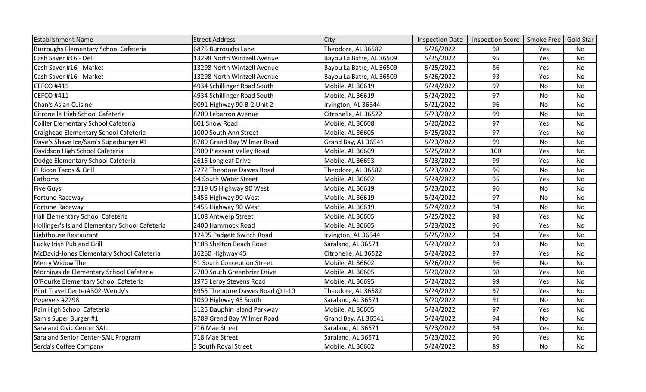| <b>Establishment Name</b>                      | <b>Street Address</b>           | City                     | <b>Inspection Date</b> | <b>Inspection Score</b> | Smoke Free | <b>Gold Star</b> |
|------------------------------------------------|---------------------------------|--------------------------|------------------------|-------------------------|------------|------------------|
| <b>Burroughs Elementary School Cafeteria</b>   | 6875 Burroughs Lane             | Theodore, AL 36582       | 5/26/2022              | 98                      | Yes        | <b>No</b>        |
| Cash Saver #16 - Deli                          | 13298 North Wintzell Avenue     | Bayou La Batre, AL 36509 | 5/25/2022              | 95                      | Yes        | <b>No</b>        |
| Cash Saver #16 - Market                        | 13298 North Wintzell Avenue     | Bayou La Batre, AL 36509 | 5/25/2022              | 86                      | Yes        | <b>No</b>        |
| Cash Saver #16 - Market                        | 13298 North Wintzell Avenue     | Bayou La Batre, AL 36509 | 5/26/2022              | 93                      | Yes        | No               |
| <b>CEFCO #411</b>                              | 4934 Schillinger Road South     | Mobile, AL 36619         | 5/24/2022              | 97                      | <b>No</b>  | <b>No</b>        |
| <b>CEFCO #411</b>                              | 4934 Schillinger Road South     | Mobile, AL 36619         | 5/24/2022              | 97                      | No         | No               |
| Chan's Asian Cuisine                           | 9091 Highway 90 B-2 Unit 2      | Irvington, AL 36544      | 5/21/2022              | 96                      | No         | No.              |
| Citronelle High School Cafeteria               | 8200 Lebarron Avenue            | Citronelle, AL 36522     | 5/23/2022              | 99                      | <b>No</b>  | <b>No</b>        |
| Collier Elementary School Cafeteria            | 601 Snow Road                   | Mobile, AL 36608         | 5/20/2022              | 97                      | Yes        | No               |
| Craighead Elementary School Cafeteria          | 1000 South Ann Street           | Mobile, AL 36605         | 5/25/2022              | 97                      | <b>Yes</b> | No               |
| Dave's Shave Ice/Sam's Superburger #1          | 8789 Grand Bay Wilmer Road      | Grand Bay, AL 36541      | 5/23/2022              | 99                      | <b>No</b>  | <b>No</b>        |
| Davidson High School Cafeteria                 | 3900 Pleasant Valley Road       | Mobile, AL 36609         | 5/25/2022              | 100                     | Yes        | <b>No</b>        |
| Dodge Elementary School Cafeteria              | 2615 Longleaf Drive             | Mobile, AL 36693         | 5/23/2022              | 99                      | Yes        | No               |
| El Ricon Tacos & Grill                         | 7272 Theodore Dawes Road        | Theodore, AL 36582       | 5/23/2022              | 96                      | No         | No               |
| Fathoms                                        | 64 South Water Street           | Mobile, AL 36602         | 5/24/2022              | 95                      | Yes        | <b>No</b>        |
| <b>Five Guys</b>                               | 5319 US Highway 90 West         | Mobile, AL 36619         | 5/23/2022              | 96                      | No         | No               |
| Fortune Raceway                                | 5455 Highway 90 West            | Mobile, AL 36619         | 5/24/2022              | 97                      | No         | No               |
| Fortune Raceway                                | 5455 Highway 90 West            | Mobile, AL 36619         | 5/24/2022              | 94                      | <b>No</b>  | <b>No</b>        |
| Hall Elementary School Cafeteria               | 1108 Antwerp Street             | Mobile, AL 36605         | 5/25/2022              | 98                      | Yes        | No               |
| Hollinger's Island Elementary School Cafeteria | 2400 Hammock Road               | Mobile, AL 36605         | 5/23/2022              | 96                      | Yes        | <b>No</b>        |
| Lighthouse Restaurant                          | 12495 Padgett Switch Road       | Irvington, AL 36544      | 5/25/2022              | 94                      | Yes        | No               |
| Lucky Irish Pub and Grill                      | 1108 Shelton Beach Road         | Saraland, AL 36571       | 5/23/2022              | 93                      | No         | <b>No</b>        |
| McDavid-Jones Elementary School Cafeteria      | 16250 Highway 45                | Citronelle, AL 36522     | 5/24/2022              | 97                      | Yes        | No               |
| Merry Widow The                                | 51 South Conception Street      | Mobile, AL 36602         | 5/26/2022              | 96                      | No         | No               |
| Morningside Elementary School Cafeteria        | 2700 South Greenbrier Drive     | Mobile, AL 36605         | 5/20/2022              | 98                      | Yes        | <b>No</b>        |
| O'Rourke Elementary School Cafeteria           | 1975 Leroy Stevens Road         | Mobile, AL 36695         | 5/24/2022              | 99                      | Yes        | No               |
| Pilot Travel Center#302-Wendy's                | 6955 Theodore Dawes Road @ I-10 | Theodore, AL 36582       | 5/24/2022              | 97                      | Yes        | No               |
| Popeye's #2298                                 | 1030 Highway 43 South           | Saraland, AL 36571       | 5/20/2022              | 91                      | No         | No               |
| Rain High School Cafeteria                     | 3125 Dauphin Island Parkway     | Mobile, AL 36605         | 5/24/2022              | 97                      | Yes        | No               |
| Sam's Super Burger #1                          | 8789 Grand Bay Wilmer Road      | Grand Bay, AL 36541      | 5/24/2022              | 94                      | No         | No               |
| <b>Saraland Civic Center SAIL</b>              | 716 Mae Street                  | Saraland, AL 36571       | 5/23/2022              | 94                      | Yes        | No               |
| Saraland Senior Center-SAIL Program            | 718 Mae Street                  | Saraland, AL 36571       | 5/23/2022              | 96                      | Yes        | No               |
| Serda's Coffee Company                         | 3 South Royal Street            | Mobile, AL 36602         | 5/24/2022              | 89                      | No         | <b>No</b>        |